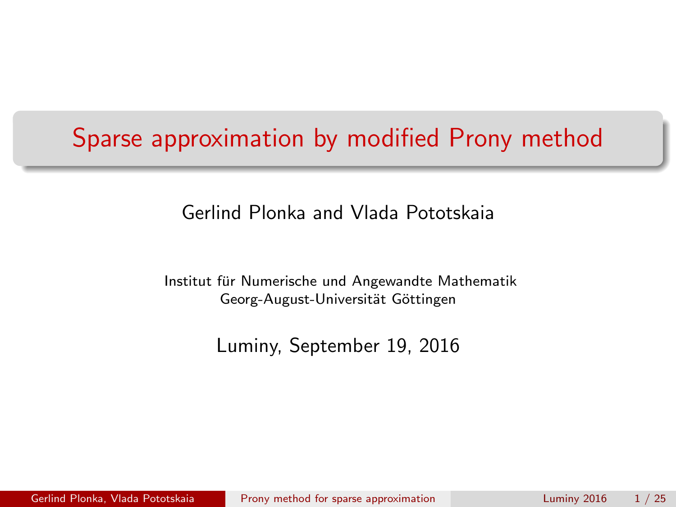# <span id="page-0-0"></span>Sparse approximation by modified Prony method

Gerlind Plonka and Vlada Pototskaia

Institut für Numerische und Angewandte Mathematik Georg-August-Universität Göttingen

Luminy, September 19, 2016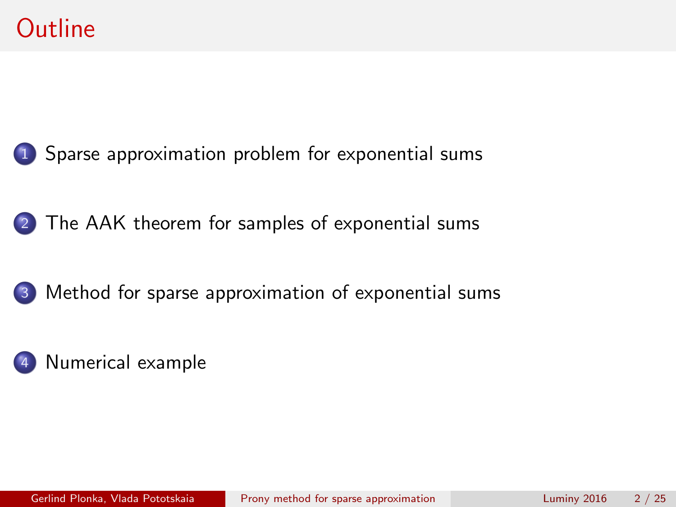



[Method for sparse approximation of exponential sums](#page-18-0)

#### [Numerical example](#page-27-0)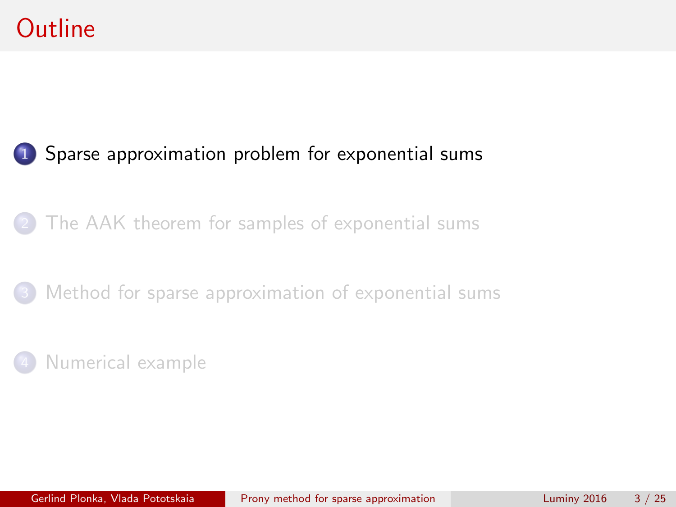# <span id="page-2-0"></span>**Outline**

#### 1 [Sparse approximation problem for exponential sums](#page-2-0)

#### [The AAK theorem for samples of exponential sums](#page-8-0)

#### [Method for sparse approximation of exponential sums](#page-18-0)

#### [Numerical example](#page-27-0)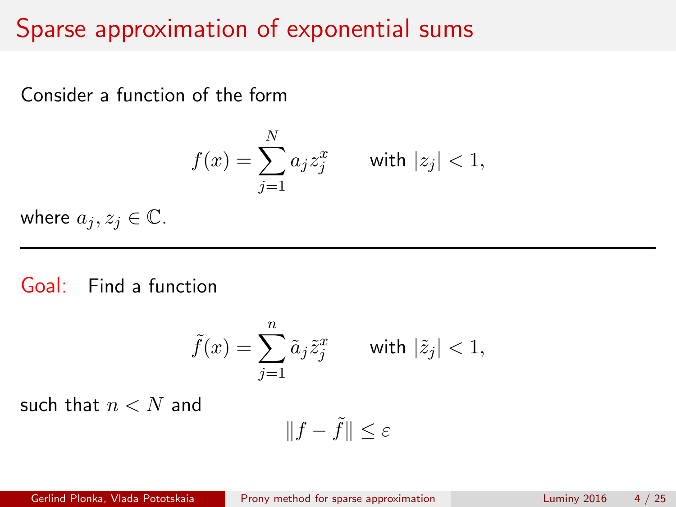## Sparse approximation of exponential sums

Consider a function of the form

$$
f(x) = \sum_{j=1}^{N} a_j z_j^x \quad \text{with } |z_j| < 1,
$$

where  $a_j, z_j \in \mathbb{C}$ .

#### Goal: Find a function

$$
\tilde{f}(x) = \sum_{j=1}^{n} \tilde{a}_j \tilde{z}_j^x \quad \text{with } |\tilde{z}_j| < 1,
$$

such that  $n < N$  and

$$
\|f-\tilde{f}\|\leq \varepsilon
$$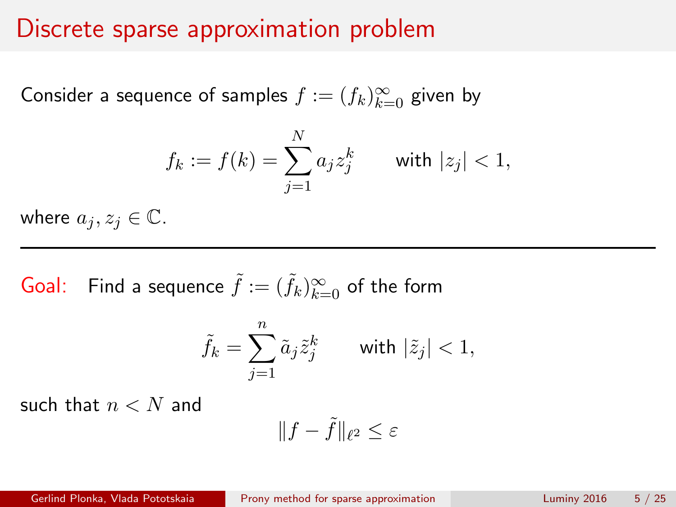## Discrete sparse approximation problem

Consider a sequence of samples  $f := (f_k)_{k=0}^{\infty}$  given by

$$
f_k := f(k) = \sum_{j=1}^{N} a_j z_j^k \quad \text{with } |z_j| < 1,
$$

where  $a_j, z_j \in \mathbb{C}$ .

Goal:  $\;$  Find a sequence  $\tilde{f}:=(\tilde{f}_k)_{k=0}^\infty$  of the form

$$
\tilde{f}_k = \sum_{j=1}^n \tilde{a}_j \tilde{z}_j^k \qquad \text{with } |\tilde{z}_j| < 1,
$$

such that  $n < N$  and

$$
\|f-\tilde{f}\|_{\ell^2}\leq \varepsilon
$$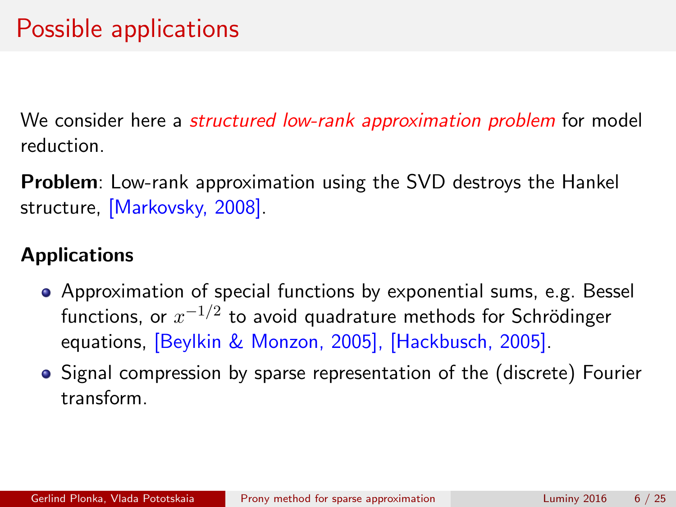We consider here a *structured low-rank approximation problem* for model reduction.

**Problem:** Low-rank approximation using the SVD destroys the Hankel structure, [Markovsky, 2008].

#### Applications

- Approximation of special functions by exponential sums, e.g. Bessel functions, or  $x^{-1/2}$  to avoid quadrature methods for Schrödinger equations, [Beylkin & Monzon, 2005], [Hackbusch, 2005].
- Signal compression by sparse representation of the (discrete) Fourier transform.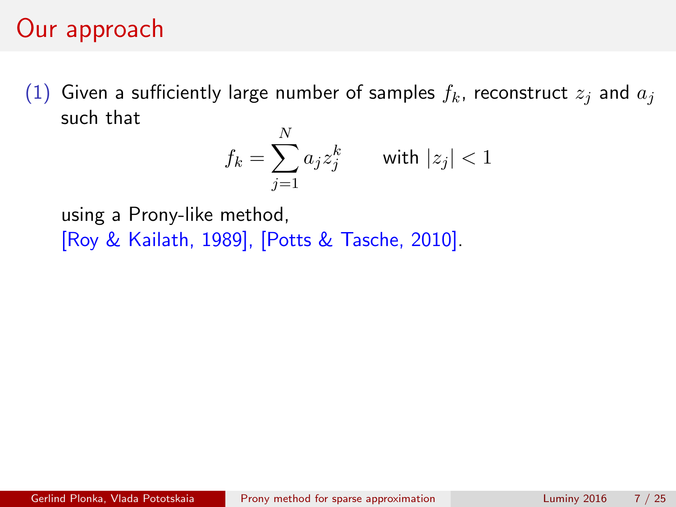# Our approach

(1) Given a sufficiently large number of samples  $f_k$ , reconstruct  $z_i$  and  $a_i$ such that

$$
f_k = \sum_{j=1}^{N} a_j z_j^k \qquad \text{with } |z_j| < 1
$$

using a Prony-like method,

[Roy & Kailath, 1989], [Potts & Tasche, 2010].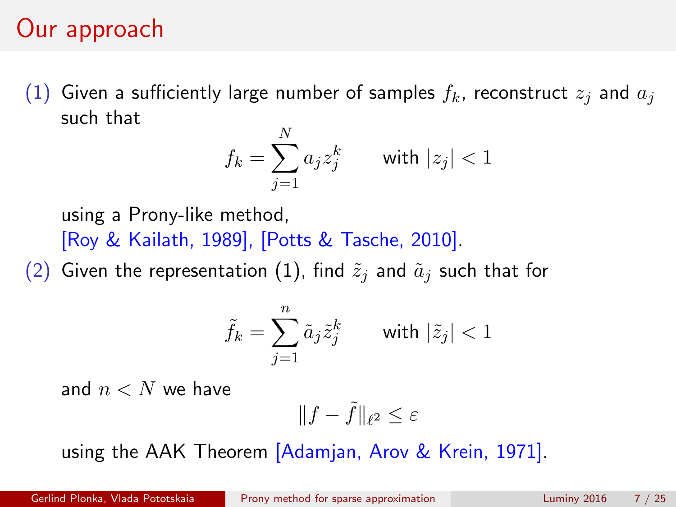# Our approach

(1) Given a sufficiently large number of samples  $f_k$ , reconstruct  $z_i$  and  $a_i$ such that

$$
f_k = \sum_{j=1}^{N} a_j z_j^k \qquad \text{with } |z_j| < 1
$$

using a Prony-like method,

[Roy & Kailath, 1989], [Potts & Tasche, 2010].

(2) Given the representation (1), find  $\tilde{z}_i$  and  $\tilde{a}_j$  such that for

$$
\tilde{f}_k = \sum_{j=1}^n \tilde{a}_j \tilde{z}_j^k \qquad \text{with } |\tilde{z}_j| < 1
$$

and  $n < N$  we have

$$
\|f-\tilde{f}\|_{\ell^2}\leq \varepsilon
$$

using the AAK Theorem [Adamjan, Arov & Krein, 1971].

Gerlind Plonka, Vlada Pototskaia [Prony method for sparse approximation](#page-0-0) Luminy 2016 7 / 25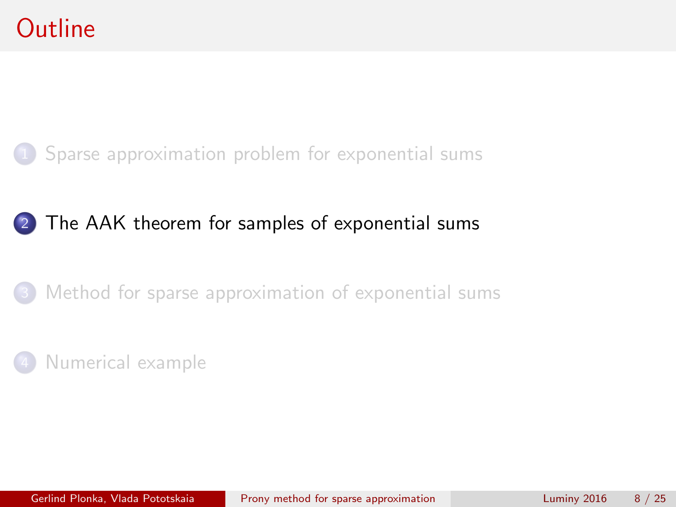<span id="page-8-0"></span>

#### 2 [The AAK theorem for samples of exponential sums](#page-8-0)

#### [Method for sparse approximation of exponential sums](#page-18-0)

#### [Numerical example](#page-27-0)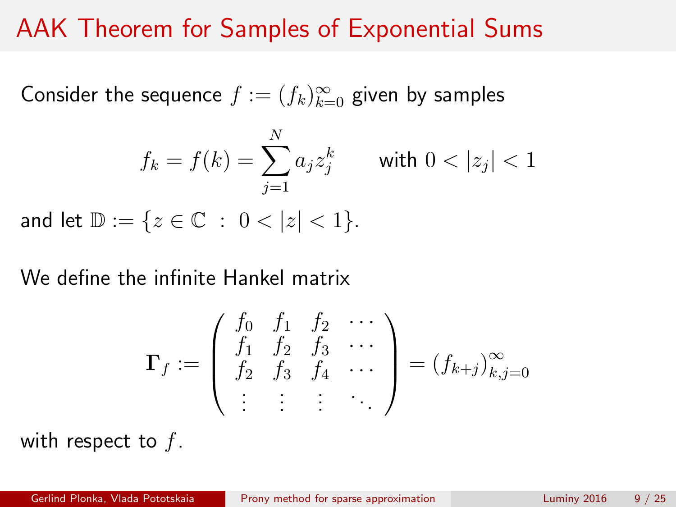# AAK Theorem for Samples of Exponential Sums

Consider the sequence  $f:=(f_k)_{k=0}^\infty$  given by samples

$$
f_k = f(k) = \sum_{j=1}^{N} a_j z_j^k \qquad \text{with } 0 < |z_j| < 1
$$
\nand let  $\mathbb{D} := \{ z \in \mathbb{C} \ : \ 0 < |z| < 1 \}.$ 

We define the infinite Hankel matrix

$$
\mathbf{\Gamma}_f := \begin{pmatrix} f_0 & f_1 & f_2 & \cdots \\ f_1 & f_2 & f_3 & \cdots \\ f_2 & f_3 & f_4 & \cdots \\ \vdots & \vdots & \vdots & \ddots \end{pmatrix} = (f_{k+j})_{k,j=0}^{\infty}
$$

with respect to  $f$ .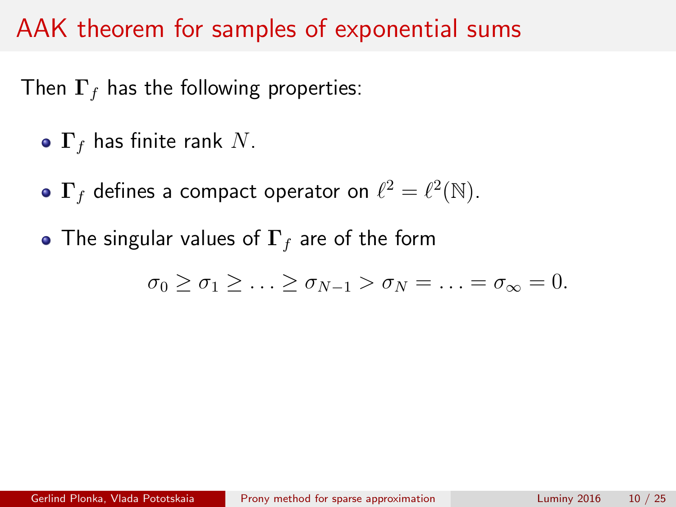## AAK theorem for samples of exponential sums

Then  $\Gamma_f$  has the following properties:

- $\Gamma_f$  has finite rank N.
- $\boldsymbol{\Gamma}_f$  defines a compact operator on  $\ell^2 = \ell^2(\mathbb{N}).$
- The singular values of  $\Gamma_f$  are of the form

$$
\sigma_0 \geq \sigma_1 \geq \ldots \geq \sigma_{N-1} > \sigma_N = \ldots = \sigma_\infty = 0.
$$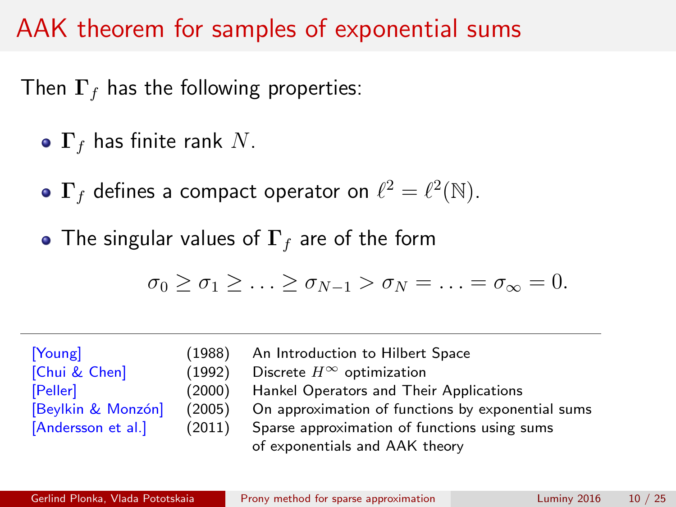## AAK theorem for samples of exponential sums

Then  $\Gamma_f$  has the following properties:

- $\bullet$   $\Gamma$ <sub>f</sub> has finite rank N.
- $\boldsymbol{\Gamma}_f$  defines a compact operator on  $\ell^2 = \ell^2(\mathbb{N}).$
- The singular values of  $\Gamma_f$  are of the form

$$
\sigma_0 \geq \sigma_1 \geq \ldots \geq \sigma_{N-1} > \sigma_N = \ldots = \sigma_\infty = 0.
$$

| [Young]            | (1 |
|--------------------|----|
| [Chui & Chen]      | (1 |
| [Peller]           | (2 |
| [Beylkin & Monzón] | (2 |
| [Andersson et al.] | (2 |

1988) An Introduction to Hilbert Space 1992) Discrete  $H^\infty$  optimization 2000) Hankel Operators and Their Applications 2005) On approximation of functions by exponential sums 2011) Sparse approximation of functions using sums of exponentials and AAK theory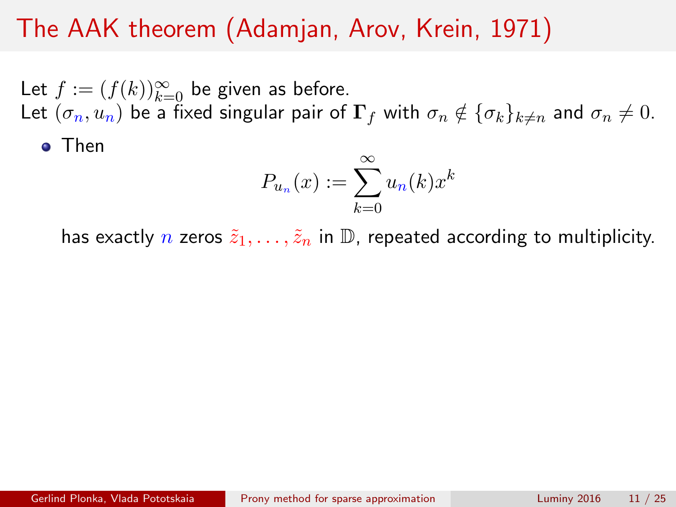# The AAK theorem (Adamjan, Arov, Krein, 1971)

Let  $f:=(f(k))_{k=0}^{\infty}$  be given as before. Let  $(\sigma_n, u_n)$  be a fixed singular pair of  $\Gamma_f$  with  $\sigma_n \notin {\{\sigma_k\}}_{k\neq n}$  and  $\sigma_n \neq 0$ .

**•** Then

$$
P_{u_n}(x) := \sum_{k=0}^{\infty} u_n(k) x^k
$$

has exactly *n* zeros  $\tilde{z}_1, \ldots, \tilde{z}_n$  in  $\mathbb{D}$ , repeated according to multiplicity.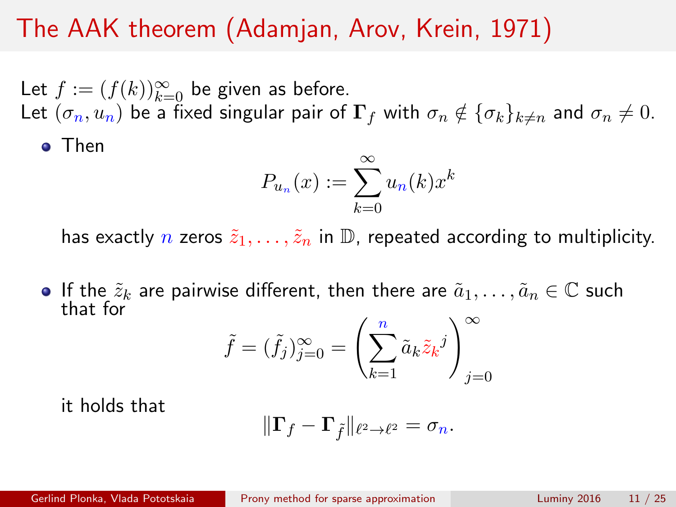# The AAK theorem (Adamjan, Arov, Krein, 1971)

Let  $f:=(f(k))_{k=0}^{\infty}$  be given as before. Let  $(\sigma_n, u_n)$  be a fixed singular pair of  $\Gamma_f$  with  $\sigma_n \notin {\{\sigma_k\}}_{k\neq n}$  and  $\sigma_n \neq 0$ .

Then

$$
P_{u_n}(x) := \sum_{k=0}^{\infty} u_n(k) x^k
$$

has exactly *n* zeros  $\tilde{z}_1, \ldots, \tilde{z}_n$  in  $\mathbb{D}$ , repeated according to multiplicity.

**If the**  $\tilde{z}_k$  **are pairwise different, then there are**  $\tilde{a}_1, \ldots, \tilde{a}_n \in \mathbb{C}$  **such** that for

$$
\tilde{f} = (\tilde{f}_j)_{j=0}^{\infty} = \left(\sum_{k=1}^n \tilde{a}_k \tilde{z}_k{}^j\right)_{j=0}^{\infty}
$$

it holds that

$$
\|\Gamma_f-\Gamma_{\tilde f}\|_{\ell^2\to\ell^2}=\sigma_n.
$$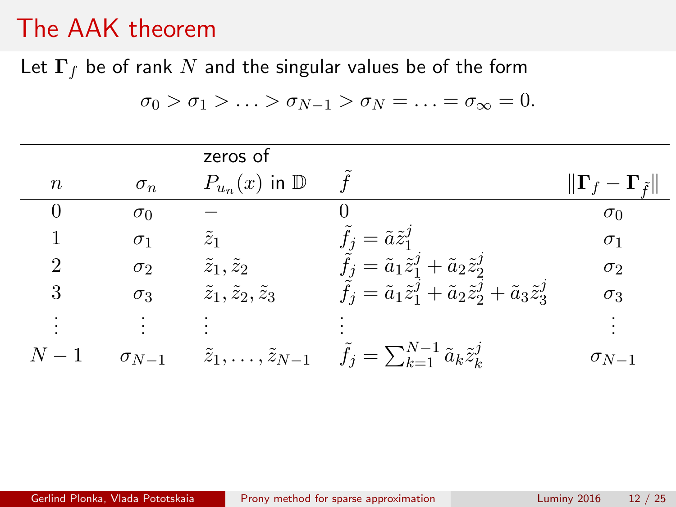#### The AAK theorem

Let  $\Gamma_f$  be of rank N and the singular values be of the form

$$
\sigma_0 > \sigma_1 > \ldots > \sigma_{N-1} > \sigma_N = \ldots = \sigma_\infty = 0.
$$

|         |                | zeros of                                |                                                                                                   |                                   |
|---------|----------------|-----------------------------------------|---------------------------------------------------------------------------------------------------|-----------------------------------|
| $\it n$ | $\sigma_n$     | $P_{u_n}(x)$ in $\mathbb{D}$            |                                                                                                   | $\ \Gamma_f-\Gamma_{\tilde{f}}\ $ |
|         | $\sigma_0$     |                                         |                                                                                                   | $\sigma_0$                        |
|         | $\sigma_1$     | $\tilde{z}_1$                           | $\tilde{f}_i = \tilde{a}\tilde{z}_1^j$                                                            | $\sigma_1$                        |
| 2       | $\sigma_2$     | $\tilde{z}_1, \tilde{z}_2$              | $\tilde{f}_j = \tilde{a}_1 \tilde{z}_1^j + \tilde{a}_2 \tilde{z}_2^j$                             | $\sigma_2$                        |
| 3       | $\sigma_3$     | $\tilde{z}_1, \tilde{z}_2, \tilde{z}_3$ | $\tilde{f}_j = \tilde{a}_1 \tilde{z}_1^j + \tilde{a}_2 \tilde{z}_2^j + \tilde{a}_3 \tilde{z}_3^j$ | $\sigma_3$                        |
|         |                |                                         |                                                                                                   |                                   |
| $N-1$   | $\sigma_{N-1}$ | $\tilde{z}_1,\ldots,\tilde{z}_{N-1}$    | $\tilde{f}_j = \sum_{k=1}^{N-1} \tilde{a}_k \tilde{z}_k^j$                                        | $\sigma_{N-1}$                    |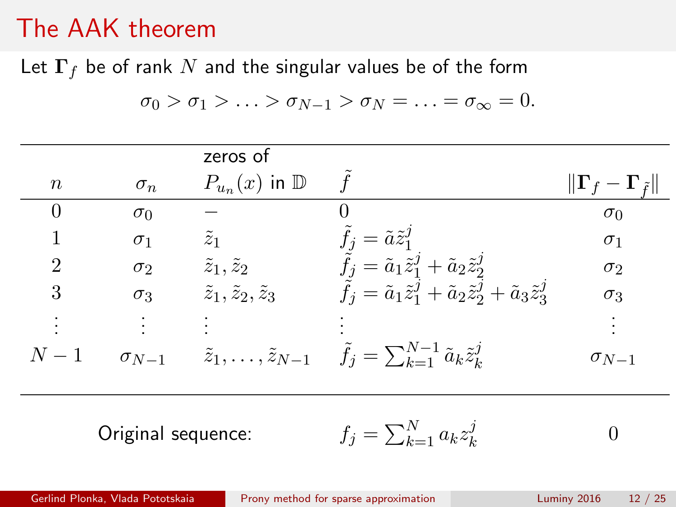## The AAK theorem

Let  $\Gamma_f$  be of rank N and the singular values be of the form

$$
\sigma_0 > \sigma_1 > \ldots > \sigma_{N-1} > \sigma_N = \ldots = \sigma_\infty = 0.
$$

|                |                          | zeros of                                |                                                                                                                                 |                                   |
|----------------|--------------------------|-----------------------------------------|---------------------------------------------------------------------------------------------------------------------------------|-----------------------------------|
| $\it n$        | $\sigma_n$               | $P_{u_n}(x)$ in $\mathbb{D}$            | $\mathbf{f}$                                                                                                                    | $\ \Gamma_f-\Gamma_{\tilde{f}}\ $ |
| $\theta$       | $\sigma_0$               |                                         |                                                                                                                                 | $\sigma_0$                        |
|                | $\sigma_1$               | $\tilde{z}_1$                           | $\tilde{f}_i = \tilde{a}\tilde{z}_1^j$                                                                                          | $\sigma_1$                        |
| $\overline{2}$ | $\sigma_2$               | $\tilde{z}_1, \tilde{z}_2$              | $\tilde{f}_j = \tilde{a}_1 \tilde{z}_1^j + \tilde{a}_2 \tilde{z}_2^j$                                                           | $\sigma_2$                        |
| 3              | $\sigma_3$               | $\tilde{z}_1, \tilde{z}_2, \tilde{z}_3$ | $\tilde{f}_i = \tilde{a}_1 \tilde{z}_1^{\tilde{j}} + \tilde{a}_2 \tilde{z}_2^{\tilde{j}} + \tilde{a}_3 \tilde{z}_3^{\tilde{j}}$ | $\sigma_3$                        |
|                | $\mathcal{L}_{\rm{max}}$ |                                         |                                                                                                                                 |                                   |
| $N-1$          | $\sigma_{N-1}$           |                                         | $\tilde{z}_1,\ldots,\tilde{z}_{N-1}$ $\tilde{f}_j = \sum_{k=1}^{N-1} \tilde{a}_k \tilde{z}_k^j$                                 | $\sigma_{N-1}$                    |
|                |                          |                                         |                                                                                                                                 |                                   |

Original sequence: 
$$
f_j = \sum_{k=1}^{N} a_k z_k^j
$$
 0

Gerlind Plonka, Vlada Pototskaia [Prony method for sparse approximation](#page-0-0) Luminy 2016 12 / 25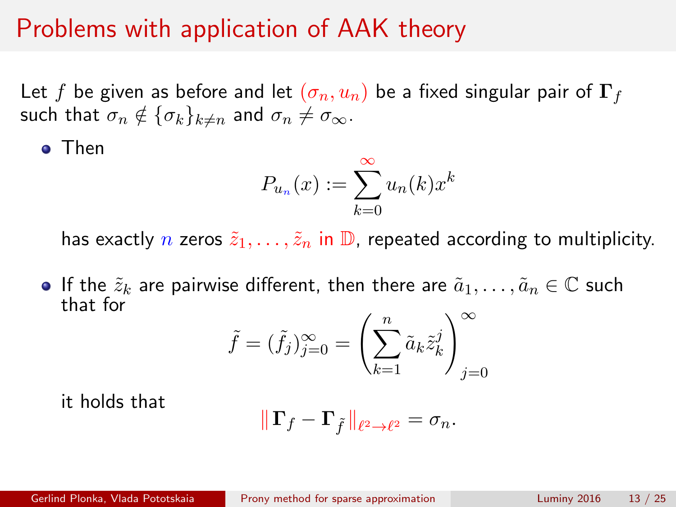## Problems with application of AAK theory

Let f be given as before and let  $(\sigma_n, u_n)$  be a fixed singular pair of  $\Gamma_f$ such that  $\sigma_n \notin {\{\sigma_k\}}_{k\neq n}$  and  $\sigma_n \neq \sigma_\infty$ .

Then

$$
P_{u_n}(x) := \sum_{k=0}^{\infty} u_n(k) x^k
$$

has exactly *n* zeros  $\tilde{z}_1, \ldots, \tilde{z}_n$  in  $\mathbb{D}$ , repeated according to multiplicity.

**If the**  $\tilde{z}_k$  **are pairwise different, then there are**  $\tilde{a}_1, \ldots, \tilde{a}_n \in \mathbb{C}$  **such** that for

$$
\tilde{f} = (\tilde{f}_j)_{j=0}^{\infty} = \left(\sum_{k=1}^n \tilde{a}_k \tilde{z}_k^j\right)_{j=0}^{\infty}
$$

it holds that

$$
\|\Gamma_f-\Gamma_{\tilde f}\|_{\ell^2\to\ell^2}=\sigma_n.
$$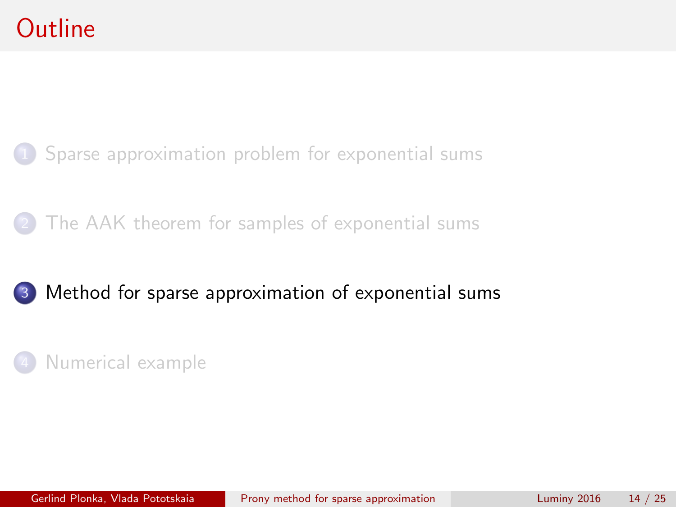[Sparse approximation problem for exponential sums](#page-2-0)



#### 3 [Method for sparse approximation of exponential sums](#page-18-0)

#### [Numerical example](#page-27-0)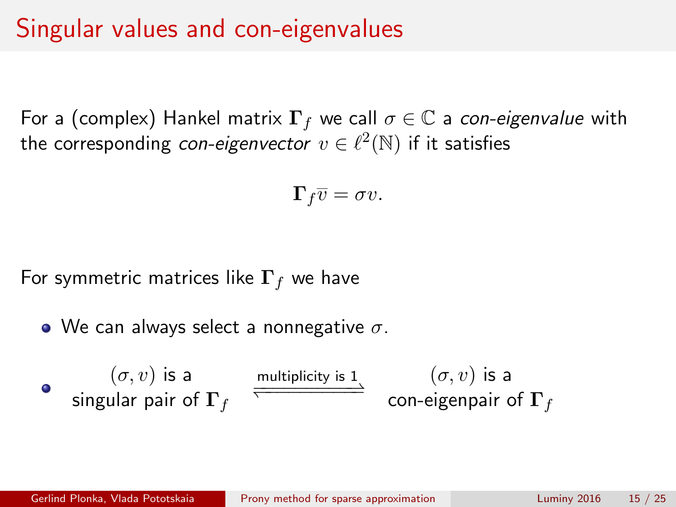# <span id="page-18-0"></span>Singular values and con-eigenvalues

For a (complex) Hankel matrix  $\Gamma_f$  we call  $\sigma \in \mathbb{C}$  a con-eigenvalue with the corresponding *con-eigenvector*  $v \in \ell^2(\mathbb{N})$  *if it satisfies* 

$$
\Gamma_f\overline{v}=\sigma v.
$$

For symmetric matrices like  $\Gamma_f$  we have

• We can always select a nonnegative  $\sigma$ .

 $(\sigma, v)$  is a  $(\sigma, v)$  is a singular pair of  $\Gamma_f$   $\quad \overline{\quad \quad }$   $\quad \overline{\quad \quad }$  con-eigenpair of  $\Gamma_f$  $(\sigma, v)$  is a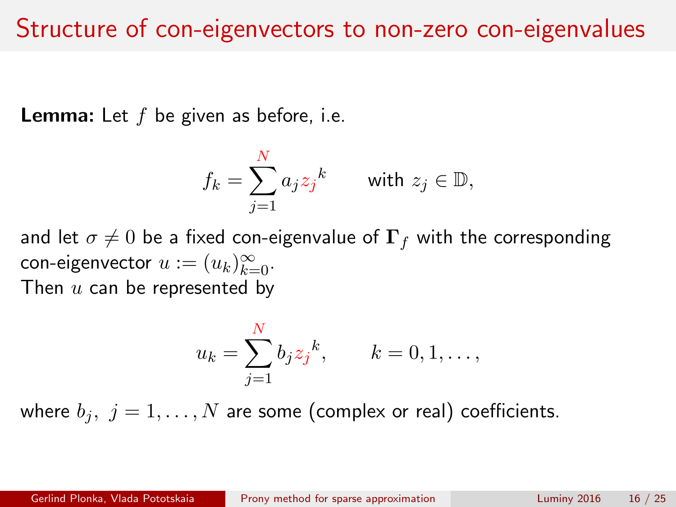**Lemma:** Let  $f$  be given as before, i.e.

$$
f_k = \sum_{j=1}^N a_j z_j{}^k \qquad \text{with } z_j \in \mathbb{D},
$$

and let  $\sigma \neq 0$  be a fixed con-eigenvalue of  $\Gamma_f$  with the corresponding con-eigenvector  $u:=(u_k)_{k=0}^{\infty}$ . Then  $u$  can be represented by

$$
u_k = \sum_{j=1}^N b_j z_j^k
$$
,  $k = 0, 1, ...,$ 

where  $b_j$ ,  $j = 1, ..., N$  are some (complex or real) coefficients.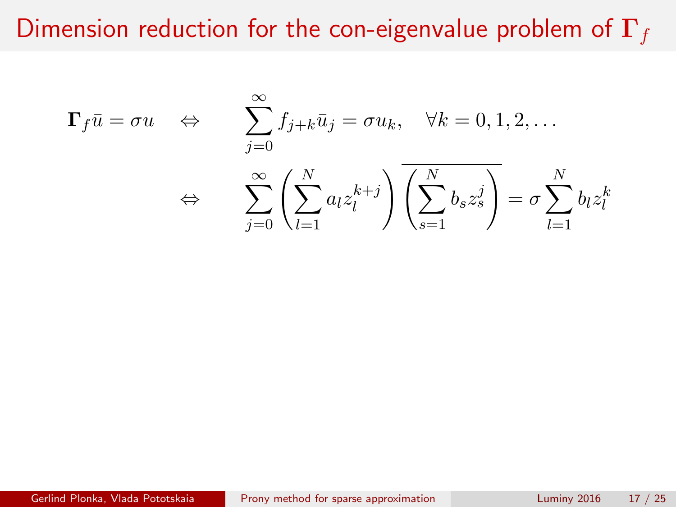## Dimension reduction for the con-eigenvalue problem of  $\Gamma_f$

$$
\Gamma_f \bar{u} = \sigma u \quad \Leftrightarrow \quad \sum_{j=0}^{\infty} f_{j+k} \bar{u}_j = \sigma u_k, \quad \forall k = 0, 1, 2, \dots
$$
\n
$$
\Leftrightarrow \quad \sum_{j=0}^{\infty} \left( \sum_{l=1}^N a_l z_l^{k+j} \right) \overline{\left( \sum_{s=1}^N b_s z_s^j \right)} = \sigma \sum_{l=1}^N b_l z_l^k
$$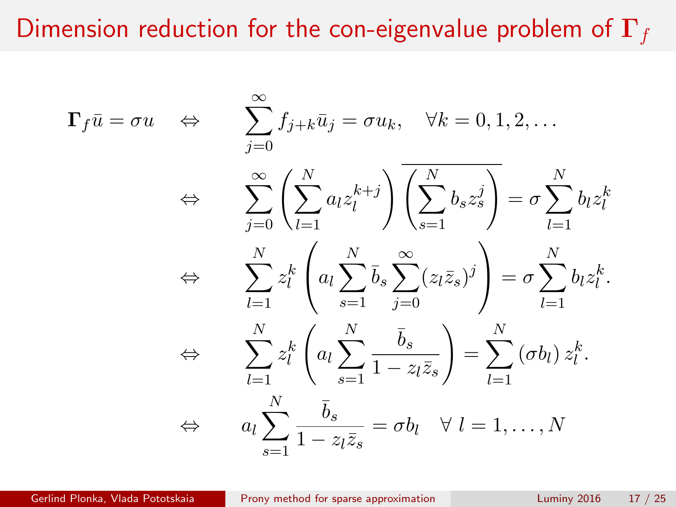## Dimension reduction for the con-eigenvalue problem of  $\Gamma_f$

$$
\Gamma_{f}\bar{u} = \sigma u \quad \Leftrightarrow \quad \sum_{j=0}^{\infty} f_{j+k}\bar{u}_{j} = \sigma u_{k}, \quad \forall k = 0, 1, 2, ...
$$
\n
$$
\Leftrightarrow \quad \sum_{j=0}^{\infty} \left( \sum_{l=1}^{N} a_{l} z_{l}^{k+j} \right) \overline{\left( \sum_{s=1}^{N} b_{s} z_{s}^{j} \right)} = \sigma \sum_{l=1}^{N} b_{l} z_{l}^{k}
$$
\n
$$
\Leftrightarrow \quad \sum_{l=1}^{N} z_{l}^{k} \left( a_{l} \sum_{s=1}^{N} \bar{b}_{s} \sum_{j=0}^{\infty} (z_{l} \bar{z}_{s})^{j} \right) = \sigma \sum_{l=1}^{N} b_{l} z_{l}^{k}.
$$
\n
$$
\Leftrightarrow \quad \sum_{l=1}^{N} z_{l}^{k} \left( a_{l} \sum_{s=1}^{N} \frac{\bar{b}_{s}}{1 - z_{l} \bar{z}_{s}} \right) = \sum_{l=1}^{N} (\sigma b_{l}) z_{l}^{k}.
$$
\n
$$
\Leftrightarrow \quad a_{l} \sum_{s=1}^{N} \frac{\bar{b}_{s}}{1 - z_{l} \bar{z}_{s}} = \sigma b_{l} \quad \forall \ l = 1, ..., N
$$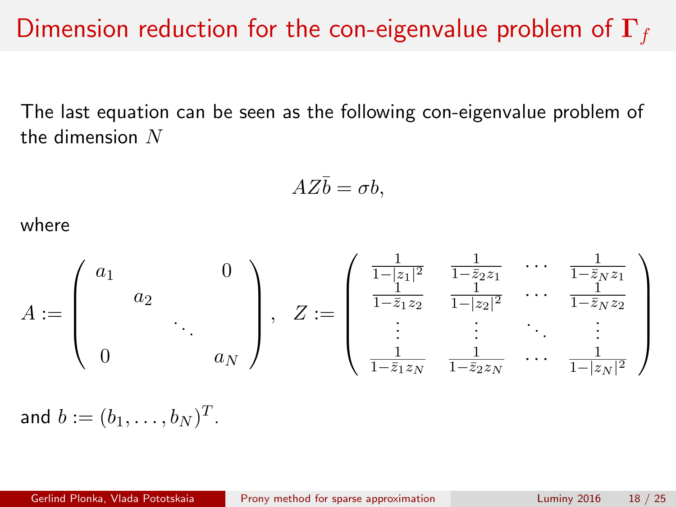# Dimension reduction for the con-eigenvalue problem of  $\Gamma_f$

The last equation can be seen as the following con-eigenvalue problem of the dimension  $N$ 

$$
A Z \overline{b} = \sigma b,
$$

where

$$
A := \left(\begin{array}{cccc} a_1 & & & 0 \\ & a_2 & & \\ & & & \ddots & \\ & & & & a_N \end{array}\right), \quad Z := \left(\begin{array}{cccc} \frac{1}{1-|z_1|^2} & \frac{1}{1-\bar{z}_2z_1} & \cdots & \frac{1}{1-\bar{z}_Nz_1} \\ \frac{1}{1-|z_1|^2} & \frac{1}{1-|z_2|^2} & \cdots & \frac{1}{1-\bar{z}_Nz_2} \\ \vdots & \vdots & \ddots & \vdots \\ \frac{1}{1-\bar{z}_1z_N} & \frac{1}{1-\bar{z}_2z_N} & \cdots & \frac{1}{1-|z_N|^2} \end{array}\right)
$$

and  $b:=(b_1,\ldots,b_N)^T$ .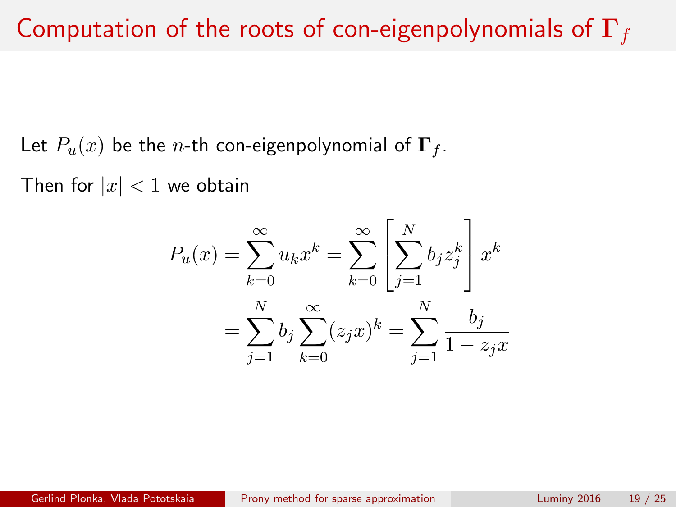Let  $P_u(x)$  be the *n*-th con-eigenpolynomial of  $\Gamma_f$ .

Then for  $|x| < 1$  we obtain

$$
P_u(x) = \sum_{k=0}^{\infty} u_k x^k = \sum_{k=0}^{\infty} \left[ \sum_{j=1}^N b_j z_j^k \right] x^k
$$
  
= 
$$
\sum_{j=1}^N b_j \sum_{k=0}^{\infty} (z_j x)^k = \sum_{j=1}^N \frac{b_j}{1 - z_j x}
$$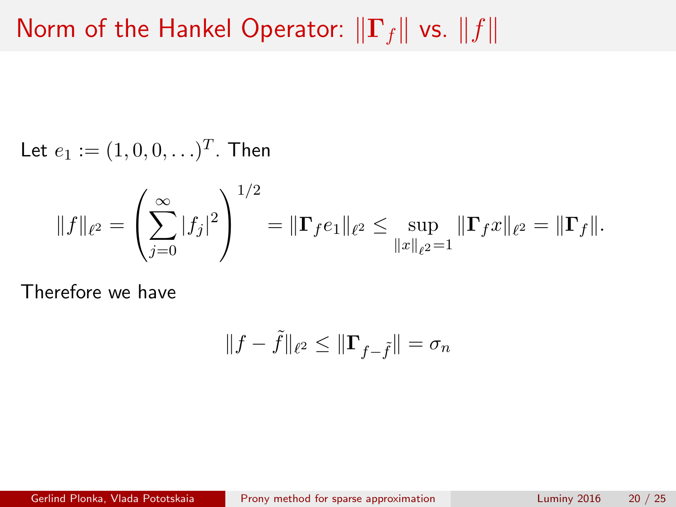# Norm of the Hankel Operator:  $\|\Gamma_f\|$  vs.  $\|f\|$

Let  $e_1 := (1, 0, 0, ...)$ <sup>T</sup>. Then

$$
||f||_{\ell^2} = \left(\sum_{j=0}^{\infty} |f_j|^2\right)^{1/2} = ||\mathbf{\Gamma}_f e_1||_{\ell^2} \le \sup_{||x||_{\ell^2} = 1} ||\mathbf{\Gamma}_f x||_{\ell^2} = ||\mathbf{\Gamma}_f||.
$$

Therefore we have

$$
\|f-\tilde{f}\|_{\ell^2}\leq \|\Gamma_{f-\tilde{f}}\|=\sigma_n
$$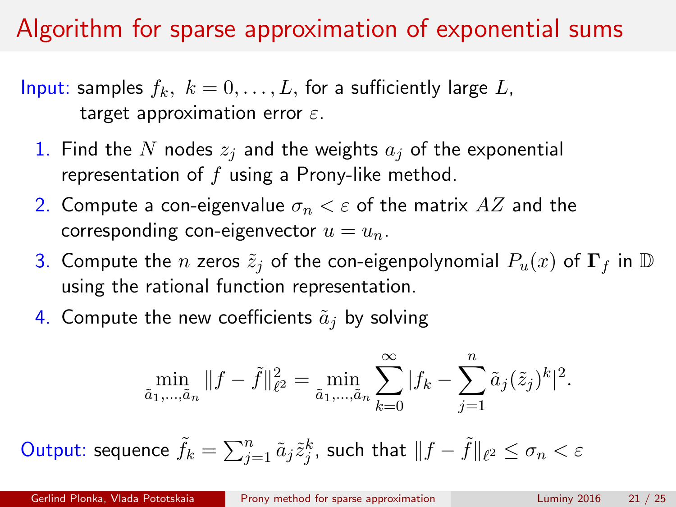# Algorithm for sparse approximation of exponential sums

Input: samples  $f_k$ ,  $k = 0, \ldots, L$ , for a sufficiently large L, target approximation error  $\varepsilon$ .

- 1. Find the N nodes  $z_i$  and the weights  $a_i$  of the exponential representation of  $f$  using a Prony-like method.
- 2. Compute a con-eigenvalue  $\sigma_n < \varepsilon$  of the matrix  $AZ$  and the corresponding con-eigenvector  $u = u_n$ .
- 3. Compute the *n* zeros  $\tilde{z}_i$  of the con-eigenpolynomial  $P_u(x)$  of  $\Gamma_f$  in  $\mathbb D$ using the rational function representation.
- 4. Compute the new coefficients  $\tilde{a}_i$  by solving

$$
\min_{\tilde{a}_1,\dots,\tilde{a}_n} \|f - \tilde{f}\|_{\ell^2}^2 = \min_{\tilde{a}_1,\dots,\tilde{a}_n} \sum_{k=0}^{\infty} |f_k - \sum_{j=1}^n \tilde{a}_j(\tilde{z}_j)^k|^2.
$$

Output: sequence  $\tilde{f}_k = \sum_{j=1}^n \tilde{a}_j \tilde{z}_j^k$ , such that  $\|f - \tilde{f}\|_{\ell^2} \leq \sigma_n < \varepsilon$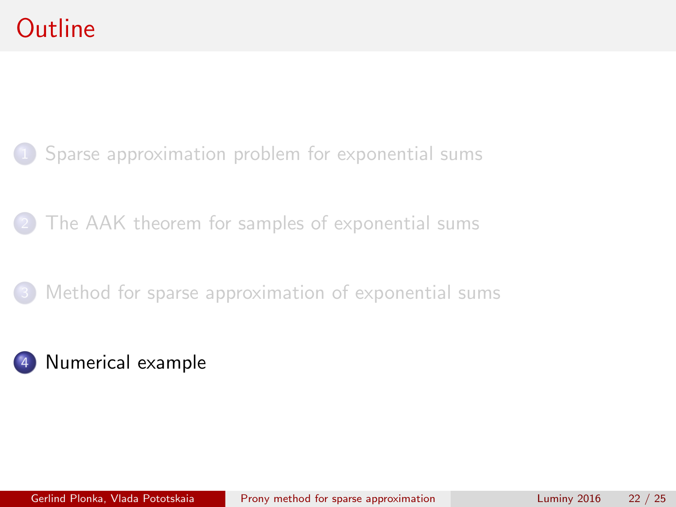[Sparse approximation problem for exponential sums](#page-2-0)

[The AAK theorem for samples of exponential sums](#page-8-0)

[Method for sparse approximation of exponential sums](#page-18-0)

#### 4 [Numerical example](#page-27-0)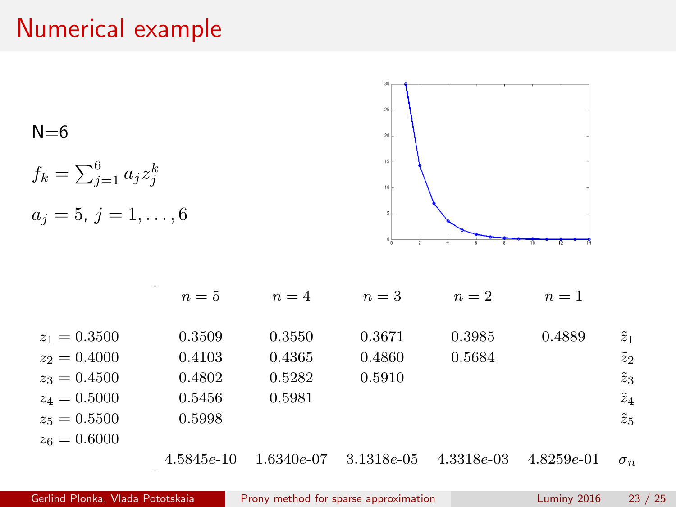# <span id="page-27-0"></span>Numerical example

$$
N=6
$$

$$
f_k = \sum_{j=1}^6 a_j z_j^k
$$
  

$$
a_j = 5, j = 1, ..., 6
$$



|                | $n=5$        | $n=4$        | $n=3$        | $n=2$        | $n=1$        |               |
|----------------|--------------|--------------|--------------|--------------|--------------|---------------|
| $z_1 = 0.3500$ | 0.3509       | 0.3550       | 0.3671       | 0.3985       | 0.4889       | $\tilde{z}_1$ |
| $z_2 = 0.4000$ | 0.4103       | 0.4365       | 0.4860       | 0.5684       |              | $\tilde{z}_2$ |
| $z_3 = 0.4500$ | 0.4802       | 0.5282       | 0.5910       |              |              | $\tilde{z}_3$ |
| $z_4 = 0.5000$ | 0.5456       | 0.5981       |              |              |              | $\tilde{z}_4$ |
| $z_5 = 0.5500$ | 0.5998       |              |              |              |              | $\tilde{z}_5$ |
| $z_6 = 0.6000$ |              |              |              |              |              |               |
|                | $4.5845e-10$ | $1.6340e-07$ | $3.1318e-05$ | $4.3318e-03$ | $4.8259e-01$ | $\sigma_n$    |

Gerlind Plonka, Vlada Pototskaia [Prony method for sparse approximation](#page-0-0) Luminy 2016 23 / 25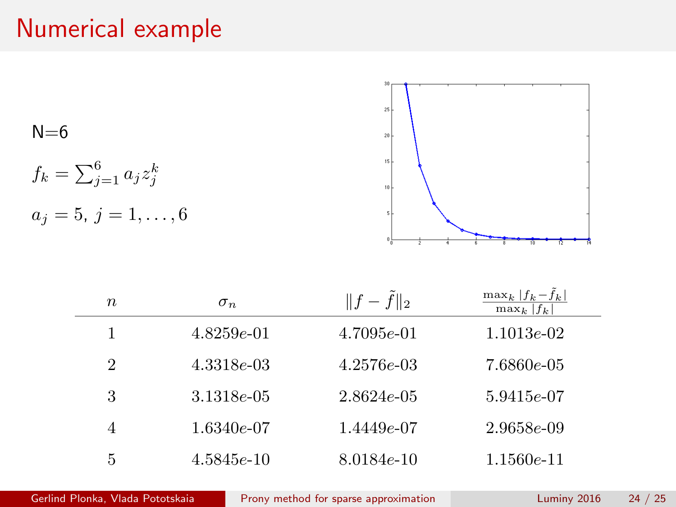# Numerical example

 $N=6$ 

$$
f_k = \sum_{j=1}^6 a_j z_j^k
$$
  

$$
a_j = 5, j = 1, \dots, 6
$$



| $\it n$        | $\sigma_n$   | $  f - f  _2$ | $\max_k  f_k - f_k $<br>$\max_k  f_k $ |
|----------------|--------------|---------------|----------------------------------------|
| 1              | $4.8259e-01$ | $4.7095e-01$  | $1.1013e-02$                           |
| $\overline{2}$ | $4.3318e-03$ | $4.2576e-03$  | $7.6860e-05$                           |
| 3              | $3.1318e-05$ | $2.8624e-05$  | $5.9415e-07$                           |
| 4              | $1.6340e-07$ | $1.4449e-07$  | $2.9658e-09$                           |
| 5              | $4.5845e-10$ | 8.0184e-10    | $1.1560e-11$                           |

Gerlind Plonka, Vlada Pototskaia [Prony method for sparse approximation](#page-0-0) Luminy 2016 24 / 25